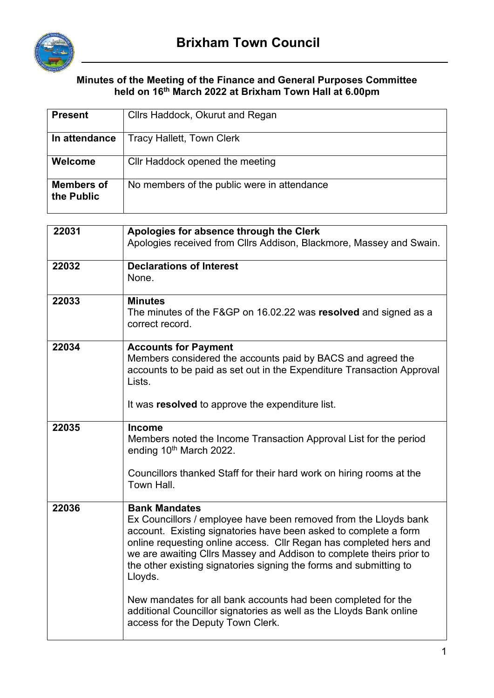

## **Minutes of the Meeting of the Finance and General Purposes Committee held on 16th March 2022 at Brixham Town Hall at 6.00pm**

| <b>Present</b>                  | Cllrs Haddock, Okurut and Regan                                                                                                                                                                                                                                                                                                                                                             |  |
|---------------------------------|---------------------------------------------------------------------------------------------------------------------------------------------------------------------------------------------------------------------------------------------------------------------------------------------------------------------------------------------------------------------------------------------|--|
| In attendance                   | <b>Tracy Hallett, Town Clerk</b>                                                                                                                                                                                                                                                                                                                                                            |  |
| Welcome                         | Cllr Haddock opened the meeting                                                                                                                                                                                                                                                                                                                                                             |  |
| <b>Members of</b><br>the Public | No members of the public were in attendance                                                                                                                                                                                                                                                                                                                                                 |  |
| 22031                           |                                                                                                                                                                                                                                                                                                                                                                                             |  |
|                                 | Apologies for absence through the Clerk<br>Apologies received from Cllrs Addison, Blackmore, Massey and Swain.                                                                                                                                                                                                                                                                              |  |
| 22032                           | <b>Declarations of Interest</b><br>None.                                                                                                                                                                                                                                                                                                                                                    |  |
| 22033                           | <b>Minutes</b><br>The minutes of the F&GP on 16.02.22 was resolved and signed as a<br>correct record.                                                                                                                                                                                                                                                                                       |  |
| 22034                           | <b>Accounts for Payment</b><br>Members considered the accounts paid by BACS and agreed the<br>accounts to be paid as set out in the Expenditure Transaction Approval<br>Lists.<br>It was resolved to approve the expenditure list.                                                                                                                                                          |  |
| 22035                           | <b>Income</b><br>Members noted the Income Transaction Approval List for the period<br>ending 10th March 2022.<br>Councillors thanked Staff for their hard work on hiring rooms at the<br>Town Hall.                                                                                                                                                                                         |  |
| 22036                           | <b>Bank Mandates</b><br>Ex Councillors / employee have been removed from the Lloyds bank<br>account. Existing signatories have been asked to complete a form<br>online requesting online access. Cllr Regan has completed hers and<br>we are awaiting Cllrs Massey and Addison to complete theirs prior to<br>the other existing signatories signing the forms and submitting to<br>Lloyds. |  |
|                                 | New mandates for all bank accounts had been completed for the<br>additional Councillor signatories as well as the Lloyds Bank online<br>access for the Deputy Town Clerk.                                                                                                                                                                                                                   |  |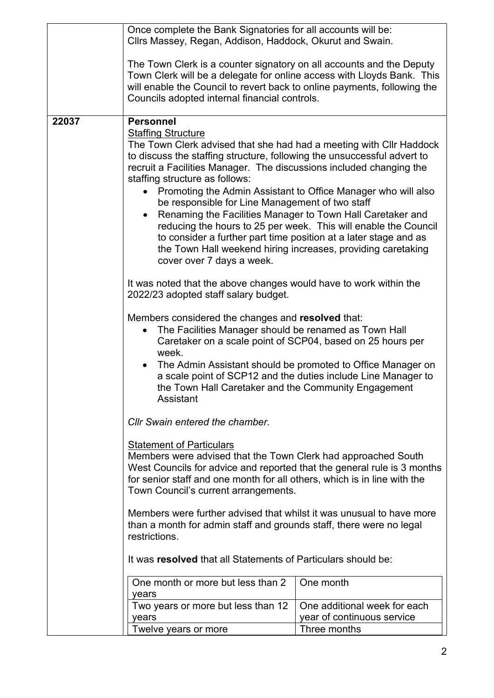|       | Once complete the Bank Signatories for all accounts will be:<br>Cllrs Massey, Regan, Addison, Haddock, Okurut and Swain.                                                                                                                                                                                                                                                                                                                                                                                                                                                                                                                                                      |                              |  |  |
|-------|-------------------------------------------------------------------------------------------------------------------------------------------------------------------------------------------------------------------------------------------------------------------------------------------------------------------------------------------------------------------------------------------------------------------------------------------------------------------------------------------------------------------------------------------------------------------------------------------------------------------------------------------------------------------------------|------------------------------|--|--|
|       | The Town Clerk is a counter signatory on all accounts and the Deputy<br>Town Clerk will be a delegate for online access with Lloyds Bank. This<br>will enable the Council to revert back to online payments, following the<br>Councils adopted internal financial controls.                                                                                                                                                                                                                                                                                                                                                                                                   |                              |  |  |
| 22037 | <b>Personnel</b>                                                                                                                                                                                                                                                                                                                                                                                                                                                                                                                                                                                                                                                              |                              |  |  |
|       | <b>Staffing Structure</b><br>The Town Clerk advised that she had had a meeting with Cllr Haddock<br>to discuss the staffing structure, following the unsuccessful advert to<br>recruit a Facilities Manager. The discussions included changing the<br>staffing structure as follows:<br>Promoting the Admin Assistant to Office Manager who will also<br>be responsible for Line Management of two staff<br>Renaming the Facilities Manager to Town Hall Caretaker and<br>reducing the hours to 25 per week. This will enable the Council<br>to consider a further part time position at a later stage and as<br>the Town Hall weekend hiring increases, providing caretaking |                              |  |  |
|       | cover over 7 days a week.                                                                                                                                                                                                                                                                                                                                                                                                                                                                                                                                                                                                                                                     |                              |  |  |
|       | It was noted that the above changes would have to work within the<br>2022/23 adopted staff salary budget.                                                                                                                                                                                                                                                                                                                                                                                                                                                                                                                                                                     |                              |  |  |
|       | Members considered the changes and resolved that:<br>The Facilities Manager should be renamed as Town Hall<br>Caretaker on a scale point of SCP04, based on 25 hours per<br>week.                                                                                                                                                                                                                                                                                                                                                                                                                                                                                             |                              |  |  |
|       | The Admin Assistant should be promoted to Office Manager on<br>a scale point of SCP12 and the duties include Line Manager to<br>the Town Hall Caretaker and the Community Engagement<br><b>Assistant</b>                                                                                                                                                                                                                                                                                                                                                                                                                                                                      |                              |  |  |
|       | Cllr Swain entered the chamber.<br><b>Statement of Particulars</b><br>Members were advised that the Town Clerk had approached South<br>West Councils for advice and reported that the general rule is 3 months<br>for senior staff and one month for all others, which is in line with the<br>Town Council's current arrangements.<br>Members were further advised that whilst it was unusual to have more<br>than a month for admin staff and grounds staff, there were no legal<br>restrictions.                                                                                                                                                                            |                              |  |  |
|       |                                                                                                                                                                                                                                                                                                                                                                                                                                                                                                                                                                                                                                                                               |                              |  |  |
|       |                                                                                                                                                                                                                                                                                                                                                                                                                                                                                                                                                                                                                                                                               |                              |  |  |
|       | It was resolved that all Statements of Particulars should be:                                                                                                                                                                                                                                                                                                                                                                                                                                                                                                                                                                                                                 |                              |  |  |
|       | One month or more but less than 2                                                                                                                                                                                                                                                                                                                                                                                                                                                                                                                                                                                                                                             | One month                    |  |  |
|       | years                                                                                                                                                                                                                                                                                                                                                                                                                                                                                                                                                                                                                                                                         |                              |  |  |
|       | Two years or more but less than 12                                                                                                                                                                                                                                                                                                                                                                                                                                                                                                                                                                                                                                            | One additional week for each |  |  |
|       | years                                                                                                                                                                                                                                                                                                                                                                                                                                                                                                                                                                                                                                                                         | year of continuous service   |  |  |
|       | Twelve years or more                                                                                                                                                                                                                                                                                                                                                                                                                                                                                                                                                                                                                                                          | Three months                 |  |  |